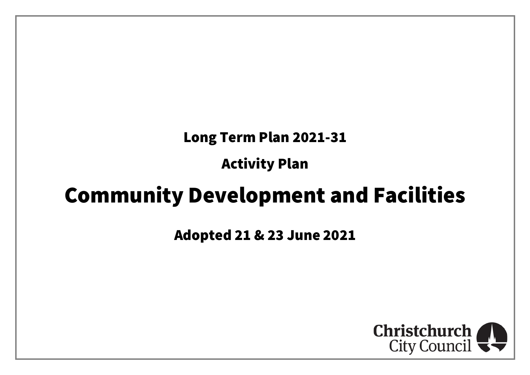# Long Term Plan 2021-31

Activity Plan

# Community Development and Facilities

Adopted 21 & 23 June 2021

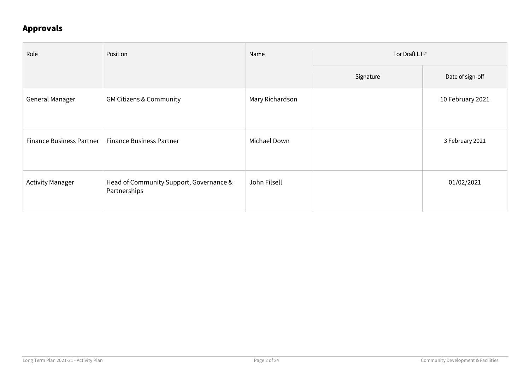### Approvals

| Role                     | Position                                                | Name            | For Draft LTP |                  |
|--------------------------|---------------------------------------------------------|-----------------|---------------|------------------|
|                          |                                                         |                 | Signature     | Date of sign-off |
| General Manager          | <b>GM Citizens &amp; Community</b>                      | Mary Richardson |               | 10 February 2021 |
| Finance Business Partner | <b>Finance Business Partner</b>                         | Michael Down    |               | 3 February 2021  |
| <b>Activity Manager</b>  | Head of Community Support, Governance &<br>Partnerships | John Filsell    |               | 01/02/2021       |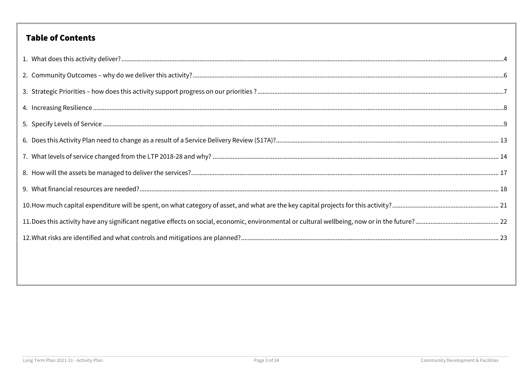### **Table of Contents**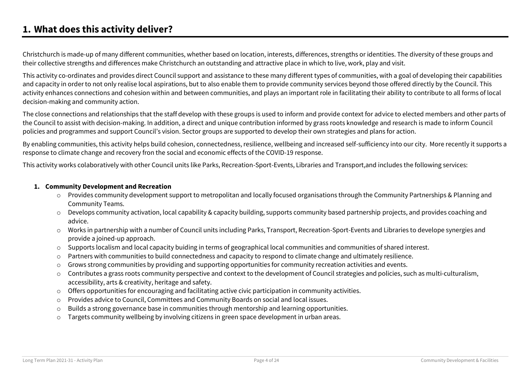### <span id="page-3-0"></span>**1. What does this activity deliver?**

Christchurch is made-up of many different communities, whether based on location, interests, differences, strengths or identities. The diversity of these groups and their collective strengths and differences make Christchurch an outstanding and attractive place in which to live, work, play and visit.

This activity co-ordinates and provides direct Council support and assistance to these many different types of communities, with a goal of developing their capabilities and capacity in order to not only realise local aspirations, but to also enable them to provide community services beyond those offered directly by the Council. This activity enhances connections and cohesion within and between communities, and plays an important role in facilitating their ability to contribute to all forms of local decision-making and community action.

The close connections and relationships that the staff develop with these groups is used to inform and provide context for advice to elected members and other parts of the Council to assist with decision-making. In addition, a direct and unique contribution informed by grass roots knowledge and research is made to inform Council policies and programmes and support Council's vision. Sector groups are supported to develop their own strategies and plans for action.

By enabling communities, this activity helps build cohesion, connectedness, resilience, wellbeing and increased self-sufficiency into our city. More recently it supports a response to climate change and recovery fron the social and economic effects of the COVID-19 response.

This activity works colaboratively with other Council units like Parks, Recreation-Sport-Events, Libraries and Transport,and includes the following services:

#### **1. Community Development and Recreation**

- o Provides community development support to metropolitan and locally focused organisations through the Community Partnerships & Planning and Community Teams.
- o Develops community activation, local capability & capacity building, supports community based partnership projects, and provides coaching and advice.
- o Works in partnership with a number of Council units including Parks, Transport, Recreation-Sport-Events and Libraries to develope synergies and provide a joined-up approach.
- o Supports localism and local capacity buiding in terms of geographical local communities and communities of shared interest.
- o Partners with communities to build connectedness and capacity to respond to climate change and ultimately resilience.
- $\circ$  Grows strong communities by providing and supporting opportunities for community recreation activities and events.
- o Contributes a grass roots community perspective and context to the development of Council strategies and policies, such as multi-culturalism, accessibility, arts & creativity, heritage and safety.
- o Offers opportunities for encouraging and facilitating active civic participation in community activities.
- o Provides advice to Council, Committees and Community Boards on social and local issues.
- $\circ$  Builds a strong governance base in communities through mentorship and learning opportunities.
- o Targets community wellbeing by involving citizens in green space development in urban areas.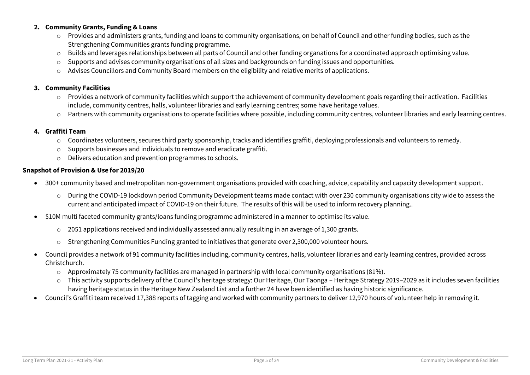#### **2. Community Grants, Funding & Loans**

- o Provides and administers grants, funding and loans to community organisations, on behalf of Council and other funding bodies, such as the Strengthening Communities grants funding programme.
- o Builds and leverages relationships between all parts of Council and other funding organations for a coordinated approach optimising value.
- Supports and advises community organisations of all sizes and backgrounds on funding issues and opportunities.
- o Advises Councillors and Community Board members on the eligibility and relative merits of applications.

#### **3. Community Facilities**

- $\circ$  Provides a network of community facilities which support the achievement of community development goals regarding their activation. Facilities include, community centres, halls, volunteer libraries and early learning centres; some have heritage values.
- o Partners with community organisations to operate facilities where possible, including community centres, volunteer libraries and early learning centres.

#### **4. Graffiti Team**

- o Coordinates volunteers, secures third party sponsorship, tracks and identifies graffiti, deploying professionals and volunteers to remedy.
- o Supports businesses and individuals to remove and eradicate graffiti.
- o Delivers education and prevention programmes to schools.

#### **Snapshot of Provision & Use for 2019/20**

- 300+ community based and metropolitan non-government organisations provided with coaching, advice, capability and capacity development support.
	- o During the COVID-19 lockdown period Community Development teams made contact with over 230 community organisations city wide to assess the current and anticipated impact of COVID-19 on their future. The results of this will be used to inform recovery planning..
- S10M multi faceted community grants/loans funding programme administered in a manner to optimise its value.
	- $\circ$  2051 applications received and individually assessed annually resulting in an average of 1,300 grants.
	- $\circ$  Strengthening Communities Funding granted to initiatives that generate over 2,300,000 volunteer hours.
- Council provides a network of 91 community facilities including, community centres, halls, volunteer libraries and early learning centres, provided across Christchurch.
	- $\circ$  Approximately 75 community facilities are managed in partnership with local community organisations (81%).
	- o This activity supports delivery of the Council's heritage strategy: Our Heritage, Our Taonga Heritage Strategy 2019–2029 as it includes seven facilities having heritage status in the Heritage New Zealand List and a further 24 have been identified as having historic significance.
- Council's Graffiti team received 17,388 reports of tagging and worked with community partners to deliver 12,970 hours of volunteer help in removing it.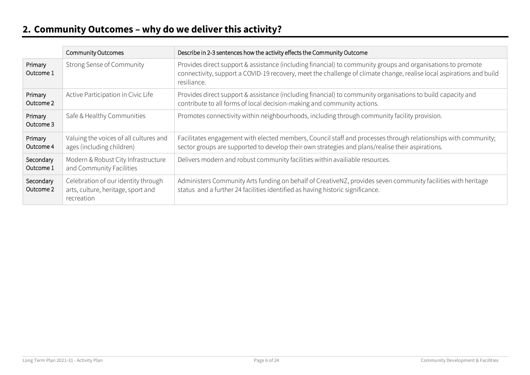# <span id="page-5-0"></span>**2. Community Outcomes – why do we deliver this activity?**

|                        | <b>Community Outcomes</b>                                                               | Describe in 2-3 sentences how the activity effects the Community Outcome                                                                                                                                                                           |
|------------------------|-----------------------------------------------------------------------------------------|----------------------------------------------------------------------------------------------------------------------------------------------------------------------------------------------------------------------------------------------------|
| Primary<br>Outcome 1   | Strong Sense of Community                                                               | Provides direct support & assistance (including financial) to community groups and organisations to promote<br>connectivity, support a COVID-19 recovery, meet the challenge of climate change, realise local aspirations and build<br>resiliance. |
| Primary<br>Outcome 2   | Active Participation in Civic Life                                                      | Provides direct support & assistance (including financial) to community organisations to build capacity and<br>contribute to all forms of local decision-making and community actions.                                                             |
| Primary<br>Outcome 3   | Safe & Healthy Communities                                                              | Promotes connectivity within neighbourhoods, including through community facility provision.                                                                                                                                                       |
| Primary<br>Outcome 4   | Valuing the voices of all cultures and<br>ages (including children)                     | Facilitates engagement with elected members, Council staff and processes through relationships with community;<br>sector groups are supported to develop their own strategies and plans/realise their aspirations.                                 |
| Secondary<br>Outcome 1 | Modern & Robust City Infrastructure<br>and Community Facilities                         | Delivers modern and robust community facilities within availiable resources.                                                                                                                                                                       |
| Secondary<br>Outcome 2 | Celebration of our identity through<br>arts, culture, heritage, sport and<br>recreation | Administers Community Arts funding on behalf of CreativeNZ, provides seven community facilities with heritage<br>status and a further 24 facilities identified as having historic significance.                                                    |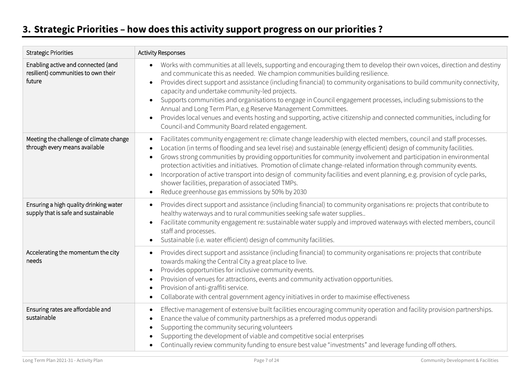# <span id="page-6-0"></span>**3. Strategic Priorities – how does this activity support progress on our priorities ?**

| <b>Strategic Priorities</b>                                                         | <b>Activity Responses</b>                                                                                                                                                                                                                                                                                                                                                                                                                                                                                                                                                                                                                                                                                                                                                                   |
|-------------------------------------------------------------------------------------|---------------------------------------------------------------------------------------------------------------------------------------------------------------------------------------------------------------------------------------------------------------------------------------------------------------------------------------------------------------------------------------------------------------------------------------------------------------------------------------------------------------------------------------------------------------------------------------------------------------------------------------------------------------------------------------------------------------------------------------------------------------------------------------------|
| Enabling active and connected (and<br>resilient) communities to own their<br>future | Works with communities at all levels, supporting and encouraging them to develop their own voices, direction and destiny<br>$\bullet$<br>and communicate this as needed. We champion communities building resilience.<br>Provides direct support and assistance (including financial) to community organisations to build community connectivity,<br>$\bullet$<br>capacity and undertake community-led projects.<br>Supports communities and organisations to engage in Council engagement processes, including submissions to the<br>Annual and Long Term Plan, e.g Reserve Management Committees.<br>Provides local venues and events hosting and supporting, active citizenship and connected communities, including for<br>$\bullet$<br>Council-and Community Board related engagement. |
| Meeting the challenge of climate change<br>through every means available            | Facilitates community engagement re: climate change leadership with elected members, council and staff processes.<br>$\bullet$<br>Location (in terms of flooding and sea level rise) and sustainable (energy efficient) design of community facilities.<br>Grows strong communities by providing opportunities for community involvement and participation in environmental<br>protection activities and initiatives. Promotion of climate change-related information through community events.<br>Incorporation of active transport into design of community facilities and event planning, e.g. provision of cycle parks,<br>$\bullet$<br>shower facilities, preparation of associated TMPs.<br>Reduce greenhouse gas emmissions by 50% by 2030<br>$\bullet$                              |
| Ensuring a high quality drinking water<br>supply that is safe and sustainable       | Provides direct support and assistance (including financial) to community organisations re: projects that contribute to<br>$\bullet$<br>healthy waterways and to rural communities seeking safe water supplies<br>Facilitate community engagement re: sustainable water supply and improved waterways with elected members, council<br>staff and processes.<br>Sustainable (i.e. water efficient) design of community facilities.                                                                                                                                                                                                                                                                                                                                                           |
| Accelerating the momentum the city<br>needs                                         | Provides direct support and assistance (including financial) to community organisations re: projects that contribute<br>$\bullet$<br>towards making the Central City a great place to live.<br>Provides opportunities for inclusive community events.<br>$\bullet$<br>Provision of venues for attractions, events and community activation opportunities.<br>Provision of anti-graffiti service.<br>Collaborate with central government agency initiatives in order to maximise effectiveness                                                                                                                                                                                                                                                                                               |
| Ensuring rates are affordable and<br>sustainable                                    | Effective management of extensive built facilities encouraging community operation and facility provision partnerships.<br>Enance the value of community partnerships as a preferred modus opperandi<br>$\bullet$<br>Supporting the community securing volunteers<br>Supporting the development of viable and competitive social enterprises<br>Continually review community funding to ensure best value "investments" and leverage funding off others.                                                                                                                                                                                                                                                                                                                                    |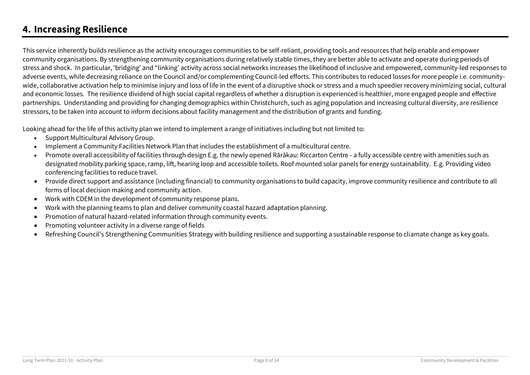### <span id="page-7-0"></span>**4. Increasing Resilience**

This service inherently builds resilience as the activity encourages communities to be self-reliant, providing tools and resources that help enable and empower community organisations. By strengthening community organisations during relatively stable times, they are better able to activate and operate during periods of stress and shock. In particular, 'bridging' and "linking' activity across social networks increases the likelihood of inclusive and empowered, community-led responses to adverse events, while decreasing reliance on the Council and/or complementing Council-led efforts. This contributes to reduced losses for more people i.e. communitywide, collaborative activation help to minimise injury and loss of life in the event of a disruptive shock or stress and a much speedier recovery minimizing social, cultural and economic losses. The resilience dividend of high social capital regardless of whether a disruption is experienced is healthier, more engaged people and effective partnerships. Understanding and providing for changing demographics within Christchurch, such as aging population and increasing cultural diversity, are resilience stressors, to be taken into account to inform decisions about facility management and the distribution of grants and funding.

Looking ahead for the life of this activity plan we intend to implement a range of initiatives including but not limited to:

- Support Multicultural Advisory Group.
- Implement a Community Facilities Network Plan that includes the establishment of a multicultural centre.
- Promote overall accessibility of facilities through design E.g. the newly opened Rārākau: Riccarton Centre a fully accessible centre with amenities such as designated mobility parking space, ramp, lift, hearing loop and accessible toilets. Roof mounted solar panels for energy sustainability. E.g. Providing video conferencing facilities to reduce travel.
- Provide direct support and assistance (including financial) to community organisations to build capacity, improve community resilience and contribute to all forms of local decision making and community action.
- Work with CDEM in the development of community response plans.
- Work with the planning teams to plan and deliver community coastal hazard adaptation planning.
- Promotion of natural hazard-related information through community events.
- Promoting volunteer activity in a diverse range of fields
- Refreshing Council's Strengthening Communities Strategy with building resilience and supporting a sustainable response to cliamate change as key goals.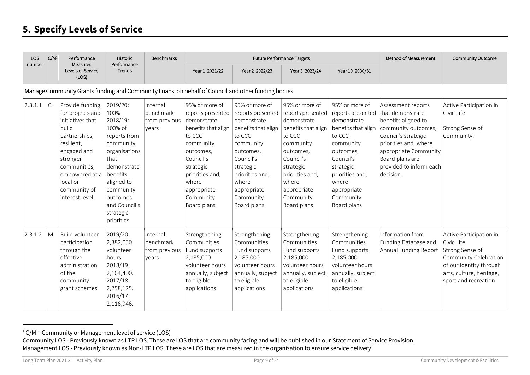### <span id="page-8-0"></span>**5. Specify Levels of Service**

| <b>LOS</b><br>number | $ C/M^1 $ | Performance<br>Measures                                                                                                                                                                                     | Historic<br>Performance                                                                                                                                                                                     | Benchmarks                                      | <b>Future Performance Targets</b>                                                                                                                                                                              |                                                                                                                                                                                                                | Method of Measurement                                                                                                                                                                                          | Community Outcome                                                                                                                                                                                              |                                                                                                                                                                                                                          |                                                                                                                                                                   |
|----------------------|-----------|-------------------------------------------------------------------------------------------------------------------------------------------------------------------------------------------------------------|-------------------------------------------------------------------------------------------------------------------------------------------------------------------------------------------------------------|-------------------------------------------------|----------------------------------------------------------------------------------------------------------------------------------------------------------------------------------------------------------------|----------------------------------------------------------------------------------------------------------------------------------------------------------------------------------------------------------------|----------------------------------------------------------------------------------------------------------------------------------------------------------------------------------------------------------------|----------------------------------------------------------------------------------------------------------------------------------------------------------------------------------------------------------------|--------------------------------------------------------------------------------------------------------------------------------------------------------------------------------------------------------------------------|-------------------------------------------------------------------------------------------------------------------------------------------------------------------|
|                      |           | Levels of Service<br>(LOS)                                                                                                                                                                                  | Trends                                                                                                                                                                                                      |                                                 | Year 1 2021/22                                                                                                                                                                                                 | Year 2 2022/23                                                                                                                                                                                                 | Year 3 2023/24                                                                                                                                                                                                 | Year 10 2030/31                                                                                                                                                                                                |                                                                                                                                                                                                                          |                                                                                                                                                                   |
|                      |           |                                                                                                                                                                                                             |                                                                                                                                                                                                             |                                                 | Manage Community Grants funding and Community Loans, on behalf of Council and other funding bodies                                                                                                             |                                                                                                                                                                                                                |                                                                                                                                                                                                                |                                                                                                                                                                                                                |                                                                                                                                                                                                                          |                                                                                                                                                                   |
| 2.3.1.1              | C         | Provide funding<br>for projects and<br>initiatives that<br>build<br>partnerships;<br>resilient,<br>engaged and<br>stronger<br>communities,<br>empowered at a<br>local or<br>community of<br>interest level. | 2019/20:<br>100%<br>2018/19:<br>100% of<br>reports from<br>community<br>organisations<br>that<br>demonstrate<br>benefits<br>aligned to<br>community<br>outcomes<br>and Council's<br>strategic<br>priorities | Internal<br>benchmark<br>from previous<br>vears | 95% or more of<br>reports presented<br>demonstrate<br>benefits that align<br>to CCC<br>community<br>outcomes,<br>Council's<br>strategic<br>priorities and,<br>where<br>appropriate<br>Community<br>Board plans | 95% or more of<br>reports presented<br>demonstrate<br>benefits that align<br>to CCC<br>community<br>outcomes,<br>Council's<br>strategic<br>priorities and,<br>where<br>appropriate<br>Community<br>Board plans | 95% or more of<br>reports presented<br>demonstrate<br>benefits that align<br>to CCC<br>community<br>outcomes,<br>Council's<br>strategic<br>priorities and,<br>where<br>appropriate<br>Community<br>Board plans | 95% or more of<br>reports presented<br>demonstrate<br>benefits that align<br>to CCC<br>community<br>outcomes,<br>Council's<br>strategic<br>priorities and,<br>where<br>appropriate<br>Community<br>Board plans | Assessment reports<br>that demonstrate<br>benefits aligned to<br>community outcomes,<br>Council's strategic<br>priorities and, where<br>appropriate Community<br>Board plans are<br>provided to inform each<br>decision. | Active Participation in<br>Civic Life.<br>Strong Sense of<br>Community.                                                                                           |
| 2.3.1.2              | M         | <b>Build volunteer</b><br>participation<br>through the<br>effective<br>administration<br>of the<br>community<br>grant schemes.                                                                              | 2019/20:<br>2,382,050<br>volunteer<br>hours.<br>2018/19:<br>2,164,400.<br>2017/18:<br>2,258,125.<br>2016/17:<br>2,116,946.                                                                                  | Internal<br>benchmark<br>from previous<br>vears | Strengthening<br>Communities<br>Fund supports<br>2,185,000<br>volunteer hours<br>annually, subject<br>to eligible<br>applications                                                                              | Strengthening<br>Communities<br>Fund supports<br>2,185,000<br>volunteer hours<br>annually, subject<br>to eligible<br>applications                                                                              | Strengthening<br>Communities<br>Fund supports<br>2,185,000<br>volunteer hours<br>annually, subject<br>to eligible<br>applications                                                                              | Strengthening<br>Communities<br>Fund supports<br>2,185,000<br>volunteer hours<br>annually, subject<br>to eligible<br>applications                                                                              | Information from<br>Funding Database and<br>Annual Funding Report                                                                                                                                                        | Active Participation in<br>Civic Life.<br>Strong Sense of<br>Community Celebration<br>of our identity through<br>arts, culture, heritage,<br>sport and recreation |

<sup>&</sup>lt;sup>1</sup> C/M – Community or Management level of service (LOS)

Community LOS - Previously known as LTP LOS. These are LOS that are community facing and will be published in our Statement of Service Provision. Management LOS - Previously known as Non-LTP LOS. These are LOS that are measured in the organisation to ensure service delivery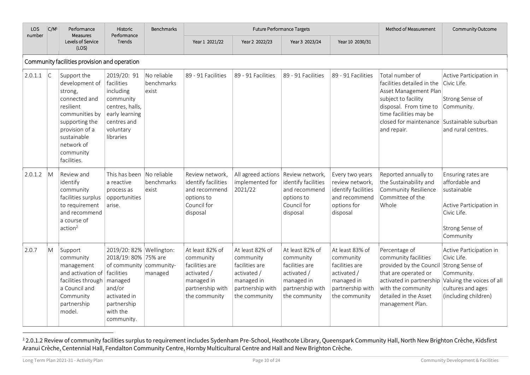| LOS<br>number | C/M <sup>1</sup> | Performance<br>Measures                                                                                                                                                               | Historic<br>Performance                                                                                                                                                   | <b>Benchmarks</b>                  |                                                                                                                  | <b>Future Performance Targets</b>                                                                                |                                                                                                                  |                                                                                                                  | Method of Measurement                                                                                                                                                                                             | Community Outcome                                                                                                             |
|---------------|------------------|---------------------------------------------------------------------------------------------------------------------------------------------------------------------------------------|---------------------------------------------------------------------------------------------------------------------------------------------------------------------------|------------------------------------|------------------------------------------------------------------------------------------------------------------|------------------------------------------------------------------------------------------------------------------|------------------------------------------------------------------------------------------------------------------|------------------------------------------------------------------------------------------------------------------|-------------------------------------------------------------------------------------------------------------------------------------------------------------------------------------------------------------------|-------------------------------------------------------------------------------------------------------------------------------|
|               |                  | Levels of Service<br>(LOS)                                                                                                                                                            | Trends                                                                                                                                                                    |                                    | Year 1 2021/22                                                                                                   | Year 2 2022/23                                                                                                   | Year 3 2023/24                                                                                                   | Year 10 2030/31                                                                                                  |                                                                                                                                                                                                                   |                                                                                                                               |
|               |                  | Community facilities provision and operation                                                                                                                                          |                                                                                                                                                                           |                                    |                                                                                                                  |                                                                                                                  |                                                                                                                  |                                                                                                                  |                                                                                                                                                                                                                   |                                                                                                                               |
| 2.0.1.1       | C                | Support the<br>development of<br>strong,<br>connected and<br>resilient<br>communities by<br>supporting the<br>provision of a<br>sustainable<br>network of<br>community<br>facilities. | 2019/20: 91<br>facilities<br>including<br>community<br>centres, halls,<br>early learning<br>centres and<br>voluntary<br>libraries                                         | No reliable<br>benchmarks<br>exist | 89 - 91 Facilities                                                                                               | 89 - 91 Facilities                                                                                               | 89 - 91 Facilities                                                                                               | 89 - 91 Facilities                                                                                               | Total number of<br>facilities detailed in the<br>Asset Management Plan<br>subject to facility<br>disposal. From time to<br>time facilities may be<br>closed for maintenance Sustainable suburban<br>and repair.   | Active Participation in<br>Civic Life.<br>Strong Sense of<br>Community.<br>and rural centres.                                 |
| 2.0.1.2       | M                | Review and<br>identify<br>community<br>facilities surplus<br>to requirement<br>and recommend<br>a course of<br>action <sup>2</sup>                                                    | This has been<br>a reactive<br>process as<br>opportunities<br>arise.                                                                                                      | No reliable<br>benchmarks<br>exist | Review network,<br>identify facilities<br>and recommend<br>options to<br>Council for<br>disposal                 | All agreed actions Review network,<br>implemented for<br>2021/22                                                 | identify facilities<br>and recommend<br>options to<br>Council for<br>disposal                                    | Every two years<br>review network,<br>identify facilities<br>and recommend<br>options for<br>disposal            | Reported annually to<br>the Sustainability and<br>Community Resilience<br>Committee of the<br>Whole                                                                                                               | Ensuring rates are<br>affordable and<br>sustainable<br>Active Participation in<br>Civic Life.<br>Strong Sense of<br>Community |
| 2.0.7         | M                | Support<br>community<br>management<br>and activation of<br>facilities through<br>a Council and<br>Community<br>partnership<br>model.                                                  | 2019/20: 82%   Wellington:<br>2018/19: 80% 75% are<br>of community community-<br>facilities<br>managed<br>and/or<br>activated in<br>partnership<br>with the<br>community. | managed                            | At least 82% of<br>community<br>facilities are<br>activated /<br>managed in<br>partnership with<br>the community | At least 82% of<br>community<br>facilities are<br>activated /<br>managed in<br>partnership with<br>the community | At least 82% of<br>community<br>facilities are<br>activated /<br>managed in<br>partnership with<br>the community | At least 83% of<br>community<br>facilities are<br>activated /<br>managed in<br>partnership with<br>the community | Percentage of<br>community facilities<br>provided by the Council<br>that are operated or<br>activated in partnership Valuing the voices of all<br>with the community<br>detailed in the Asset<br>management Plan. | Active Participation in<br>Civic Life.<br>Strong Sense of<br>Community.<br>cultures and ages<br>(including children)          |

<sup>&</sup>lt;sup>2</sup> 2.0.1.2 Review of community facilities surplus to requirement includes Sydenham Pre-School, Heathcote Library, Queenspark Community Hall, North New Brighton Crèche, Kidsfirst Aranui Crèche, Centennial Hall, Fendalton Community Centre, Hornby Multicultural Centre and Hall and New Brighton Crèche.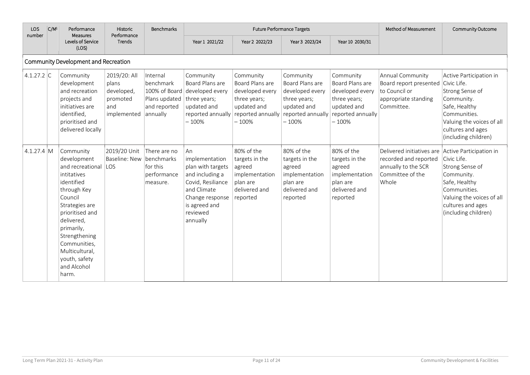| <b>LOS</b><br>number | $ C/M^1 $ | Performance<br>Measures                                                                                                                                                                                                                                          | Historic<br>Performance                                               | Benchmarks                                                                        | <b>Future Performance Targets</b>                                                                                                                            |                                                                                                                |                                                                                                                | Method of Measurement<br>Community Outcome                                                                     |                                                                                                                                |                                                                                                                                                                     |
|----------------------|-----------|------------------------------------------------------------------------------------------------------------------------------------------------------------------------------------------------------------------------------------------------------------------|-----------------------------------------------------------------------|-----------------------------------------------------------------------------------|--------------------------------------------------------------------------------------------------------------------------------------------------------------|----------------------------------------------------------------------------------------------------------------|----------------------------------------------------------------------------------------------------------------|----------------------------------------------------------------------------------------------------------------|--------------------------------------------------------------------------------------------------------------------------------|---------------------------------------------------------------------------------------------------------------------------------------------------------------------|
|                      |           | Levels of Service<br>(LOS)                                                                                                                                                                                                                                       | Trends                                                                |                                                                                   | Year 1 2021/22                                                                                                                                               | Year 2 2022/23                                                                                                 | Year 3 2023/24                                                                                                 | Year 10 2030/31                                                                                                |                                                                                                                                |                                                                                                                                                                     |
|                      |           | Community Development and Recreation                                                                                                                                                                                                                             |                                                                       |                                                                                   |                                                                                                                                                              |                                                                                                                |                                                                                                                |                                                                                                                |                                                                                                                                |                                                                                                                                                                     |
| 4.1.27.2 C           |           | Community<br>development<br>and recreation<br>projects and<br>initiatives are<br>identified,<br>prioritised and<br>delivered locally                                                                                                                             | 2019/20: All<br>plans<br>developed,<br>promoted<br>and<br>implemented | Internal<br>benchmark<br>Plans updated   three years;<br>and reported<br>annually | Community<br>Board Plans are<br>100% of Board developed every<br>updated and<br>reported annually<br>$-100%$                                                 | Community<br>Board Plans are<br>developed every<br>three years;<br>updated and<br>reported annually<br>$-100%$ | Community<br>Board Plans are<br>developed every<br>three years;<br>updated and<br>reported annually<br>$-100%$ | Community<br>Board Plans are<br>developed every<br>three years;<br>updated and<br>reported annually<br>$-100%$ | Annual Community<br>Board report presented Civic Life.<br>to Council or<br>appropriate standing<br>Committee.                  | Active Participation in<br>Strong Sense of<br>Community.<br>Safe, Healthy<br>Communities.<br>Valuing the voices of all<br>cultures and ages<br>(including children) |
| $4.1.27.4 \, M$      |           | Community<br>development<br>and recreational<br>intitatives<br>identified<br>through Key<br>Council<br>Strategies are<br>prioritised and<br>delivered,<br>primarily,<br>Strengthening<br>Communities,<br>Multicultural,<br>youth, safety<br>and Alcohol<br>harm. | 2019/20 Unit<br><b>Baseline: New</b><br>LOS                           | There are no<br>benchmarks<br>for this<br>performance<br>measure.                 | An<br>implementation<br>plan with targets<br>and including a<br>Covid, Resiliance<br>and Climate<br>Change response<br>is agreed and<br>reviewed<br>annually | 80% of the<br>targets in the<br>agreed<br>implementation<br>plan are<br>delivered and<br>reported              | 80% of the<br>targets in the<br>agreed<br>implementation<br>plan are<br>delivered and<br>reported              | 80% of the<br>targets in the<br>agreed<br>implementation<br>plan are<br>delivered and<br>reported              | Delivered initiatives are Active Participation in<br>recorded and reported<br>annually to the SCR<br>Committee of the<br>Whole | Civic Life.<br>Strong Sense of<br>Community.<br>Safe, Healthy<br>Communities.<br>Valuing the voices of all<br>cultures and ages<br>(including children)             |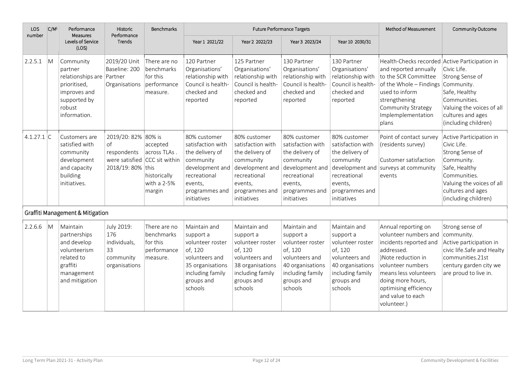| LOS<br>number | C/M <sup>1</sup>        | Performance<br><b>Measures</b>                                                                                              | Historic<br>Performance                                                         | <b>Benchmarks</b>                                                                   |                                                                                                                                                  |                                                                                                                                                  | <b>Future Performance Targets</b>                                                                                                                |                                                                                                                                             | Method of Measurement                                                                                                                                                                                                                      | Community Outcome                                                                                                                                                                  |
|---------------|-------------------------|-----------------------------------------------------------------------------------------------------------------------------|---------------------------------------------------------------------------------|-------------------------------------------------------------------------------------|--------------------------------------------------------------------------------------------------------------------------------------------------|--------------------------------------------------------------------------------------------------------------------------------------------------|--------------------------------------------------------------------------------------------------------------------------------------------------|---------------------------------------------------------------------------------------------------------------------------------------------|--------------------------------------------------------------------------------------------------------------------------------------------------------------------------------------------------------------------------------------------|------------------------------------------------------------------------------------------------------------------------------------------------------------------------------------|
|               |                         | Levels of Service<br>(LOS)                                                                                                  | Trends                                                                          |                                                                                     | Year 1 2021/22                                                                                                                                   | Year 2 2022/23                                                                                                                                   | Year 3 2023/24                                                                                                                                   | Year 10 2030/31                                                                                                                             |                                                                                                                                                                                                                                            |                                                                                                                                                                                    |
| 2.2.5.1       | M                       | Community<br>partner<br>relationships are Partner<br>prioritised,<br>improves and<br>supported by<br>robust<br>information. | 2019/20 Unit<br>Baseline: 200<br>Organisations                                  | There are no<br>benchmarks<br>for this<br>performance<br>measure.                   | 120 Partner<br>Organisations'<br>relationship with<br>Council is health-<br>checked and<br>reported                                              | 125 Partner<br>Organisations'<br>relationship with<br>Council is health-<br>checked and<br>reported                                              | 130 Partner<br>Organisations'<br>relationship with<br>Council is health-<br>checked and<br>reported                                              | 130 Partner<br>Organisations'<br>relationship with<br>Council is health-<br>checked and<br>reported                                         | Health-Checks recorded Active Participation in<br>and reported annually<br>to the SCR Committee<br>of the Whole - Findings Community.<br>used to inform<br>strengthening<br>Community Strategy<br>Implemplementation<br>plans              | Civic Life.<br>Strong Sense of<br>Safe, Healthy<br>Communities.<br>Valuing the voices of all<br>cultures and ages<br>(including children)                                          |
| $4.1.27.1$ C  |                         | Customers are<br>satisfied with<br>community<br>development<br>and capacity<br>building<br>initiatives.                     | 2019/20: 82% 80% is<br>of<br>respondents<br>were satisfied<br>2018/19: 80% this | accepted<br>across TLAs.<br>CCC sit within<br>historically<br>with a 2-5%<br>margin | 80% customer<br>satisfaction with<br>the delivery of<br>community<br>development and<br>recreational<br>events,<br>programmes and<br>initiatives | 80% customer<br>satisfaction with<br>the delivery of<br>community<br>development and<br>recreational<br>events.<br>programmes and<br>initiatives | 80% customer<br>satisfaction with<br>the delivery of<br>community<br>development and<br>recreational<br>events,<br>programmes and<br>initiatives | 80% customer<br>satisfaction with<br>the delivery of<br>community<br>recreational<br>events,<br>programmes and<br>initiatives               | Point of contact survey<br>(residents survey)<br>Customer satisfaction<br>development and surveys at community<br>events                                                                                                                   | Active Participation in<br>Civic Life.<br>Strong Sense of<br>Community.<br>Safe, Healthy<br>Communities.<br>Valuing the voices of all<br>cultures and ages<br>(including children) |
|               |                         | Graffiti Management & Mitigation                                                                                            |                                                                                 |                                                                                     |                                                                                                                                                  |                                                                                                                                                  |                                                                                                                                                  |                                                                                                                                             |                                                                                                                                                                                                                                            |                                                                                                                                                                                    |
| 2.2.6.6       | $\overline{\mathsf{M}}$ | Maintain<br>partnerships<br>and develop<br>volunteerism<br>related to<br>graffiti<br>management<br>and mitigation           | July 2019:<br>176<br>individuals,<br>33<br>community<br>organisations           | There are no<br>benchmarks<br>for this<br>performance<br>measure.                   | Maintain and<br>support a<br>volunteer roster<br>of, 120<br>volunteers and<br>35 organisations<br>including family<br>groups and<br>schools      | Maintain and<br>support a<br>volunteer roster<br>of, 120<br>volunteers and<br>38 organisations<br>including family<br>groups and<br>schools      | Maintain and<br>support a<br>volunteer roster<br>of, 120<br>volunteers and<br>40 organisations<br>including family<br>groups and<br>schools      | Maintain and<br>support a<br>volunteer roster<br>of, 120<br>volunteers and<br>40 organisations<br>including family<br>groups and<br>schools | Annual reporting on<br>volunteer numbers and<br>incidents reported and<br>addressed.<br>)Note reduction in<br>volunteer numbers<br>means less volunteers<br>doing more hours,<br>optimising efficiency<br>and value to each<br>volunteer.) | Strong sense of<br>community.<br>Active participation in<br>civic life.Safe and Healty<br>communities.21st<br>century garden city we<br>are proud to live in.                      |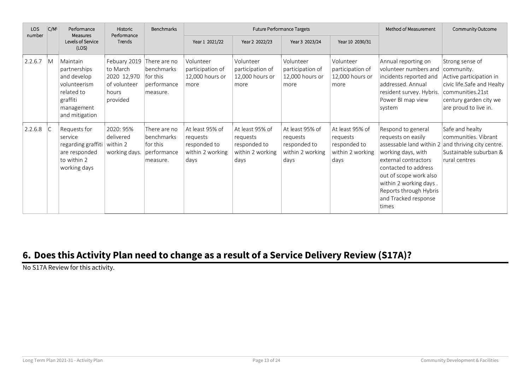| LOS<br>number | $ C/M^1 $<br>Performance |                                                                                                                   | Historic<br>Performance                                                      | Benchmarks                                                        | Future Performance Targets                                              |                                                                         |                                                                         |                                                                         | Method of Measurement                                                                                                                                                                                                                                                                 | Community Outcome                                                                                                                                             |
|---------------|--------------------------|-------------------------------------------------------------------------------------------------------------------|------------------------------------------------------------------------------|-------------------------------------------------------------------|-------------------------------------------------------------------------|-------------------------------------------------------------------------|-------------------------------------------------------------------------|-------------------------------------------------------------------------|---------------------------------------------------------------------------------------------------------------------------------------------------------------------------------------------------------------------------------------------------------------------------------------|---------------------------------------------------------------------------------------------------------------------------------------------------------------|
|               |                          | Measures<br>Levels of Service<br>(LOS)                                                                            | Trends                                                                       |                                                                   | Year 1 2021/22                                                          | Year 2 2022/23                                                          | Year 3 2023/24                                                          | Year 10 2030/31                                                         |                                                                                                                                                                                                                                                                                       |                                                                                                                                                               |
| 2.2.6.7       | $\overline{M}$           | Maintain<br>partnerships<br>and develop<br>volunteerism<br>related to<br>graffiti<br>management<br>and mitigation | Febuary 2019<br>to March<br>2020 12,970<br>of volunteer<br>hours<br>provided | There are no<br>benchmarks<br>for this<br>performance<br>measure. | Volunteer<br>participation of<br>12,000 hours or<br>more                | Volunteer<br>participation of<br>12,000 hours or<br>more                | Volunteer<br>participation of<br>12,000 hours or<br>more                | Volunteer<br>participation of<br>12,000 hours or<br>more                | Annual reporting on<br>volunteer numbers and<br>incidents reported and<br>addressed. Annual<br>resident survey. Hybris.<br>Power BI map view<br>system                                                                                                                                | Strong sense of<br>community.<br>Active participation in<br>civic life.Safe and Healty<br>communities.21st<br>century garden city we<br>are proud to live in. |
| 2.2.6.8       | C                        | Requests for<br>service<br>regarding graffiti   within 2<br>are responded<br>to within 2<br>working days          | 2020: 95%<br>delivered<br>working days.                                      | There are no<br>benchmarks<br>for this<br>performance<br>measure. | At least 95% of<br>requests<br>responded to<br>within 2 working<br>days | At least 95% of<br>requests<br>responded to<br>within 2 working<br>days | At least 95% of<br>requests<br>responded to<br>within 2 working<br>days | At least 95% of<br>requests<br>responded to<br>within 2 working<br>days | Respond to general<br>requests on easily<br>assessable land within $2$ and thriving city centre.<br>working days, with<br>external contractors<br>contacted to address<br>out of scope work also<br>within 2 working days.<br>Reports through Hybris<br>and Tracked response<br>times | Safe and healty<br>communities. Vibrant<br>Sustainable suburban &<br>rural centres                                                                            |

### <span id="page-12-0"></span>**6. Does this Activity Plan need to change as a result of a Service Delivery Review (S17A)?**

No S17A Review for this activity.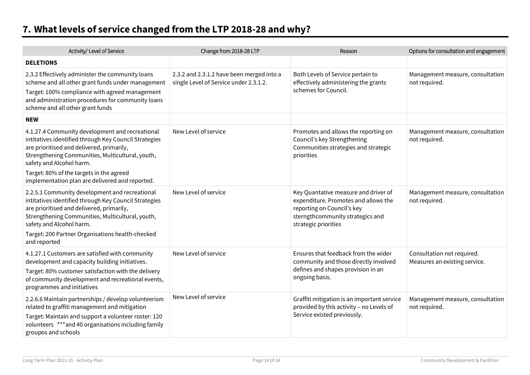# <span id="page-13-0"></span>**7. What levels of service changed from the LTP 2018-28 and why?**

| Activity/ Level of Service                                                                                                                                                                                                                                                                                                           | Change from 2018-28 LTP                                                             | Reason                                                                                                                                                                 | Options for consultation and engagement                     |
|--------------------------------------------------------------------------------------------------------------------------------------------------------------------------------------------------------------------------------------------------------------------------------------------------------------------------------------|-------------------------------------------------------------------------------------|------------------------------------------------------------------------------------------------------------------------------------------------------------------------|-------------------------------------------------------------|
| <b>DELETIONS</b>                                                                                                                                                                                                                                                                                                                     |                                                                                     |                                                                                                                                                                        |                                                             |
| 2.3.2 Effectively administer the community loans<br>scheme and all other grant funds under management<br>Target: 100% compliance with agreed management<br>and administration procedures for community loans<br>scheme and all other grant funds                                                                                     | 2.3.2 and 2.3.1.2 have been merged into a<br>single Level of Service under 2.3.1.2. | Both Levels of Service pertain to<br>effectively administering the grants<br>schemes for Council.                                                                      | Management measure, consultation<br>not required.           |
| <b>NEW</b>                                                                                                                                                                                                                                                                                                                           |                                                                                     |                                                                                                                                                                        |                                                             |
| 4.1.27.4 Community development and recreational<br>intitatives identified through Key Council Strategies<br>are prioritised and delivered, primarily,<br>Strengthening Communities, Multicultural, youth,<br>safety and Alcohol harm.<br>Target: 80% of the targets in the agreed<br>implementation plan are delivered and reported. | New Level of service                                                                | Promotes and allows the reporting on<br>Council's key Strengthening<br>Communities strategies and strategic<br>priorities                                              | Management measure, consultation<br>not required.           |
| 2.2.5.1 Community development and recreational<br>intitatives identified through Key Council Strategies<br>are prioritised and delivered, primarily,<br>Strengthening Communities, Multicultural, youth,<br>safety and Alcohol harm.<br>Target: 200 Partner Organisations health-checked<br>and reported                             | New Level of service                                                                | Key Quantative measure and driver of<br>expenditure. Promotes and allows the<br>reporting on Council's key<br>sterngthcommunity strategics and<br>strategic priorities | Management measure, consultation<br>not required.           |
| 4.1.27.1 Customers are satisfied with community<br>development and capacity building initiatives.<br>Target: 80% customer satisfaction with the delivery<br>of community development and recreational events,<br>programmes and initiatives                                                                                          | New Level of service                                                                | Ensures that feedback from the wider<br>community and those directly involved<br>defines and shapes provision in an<br>ongoing basis.                                  | Consultation not required.<br>Measures an existing service. |
| 2.2.6.6 Maintain partnerships / develop volunteerism<br>related to graffiti management and mitigation<br>Target: Maintain and support a volunteer roster: 120<br>volunteers *** and 40 organisations including family<br>groupos and schools                                                                                         | New Level of service                                                                | Graffiti mitigation is an important service<br>provided by this activity - no Levels of<br>Service existed previously.                                                 | Management measure, consultation<br>not required.           |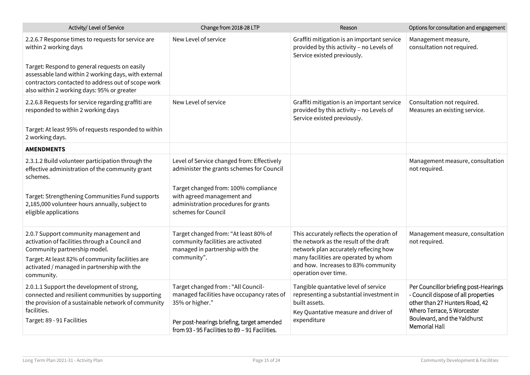| Activity/ Level of Service                                                                                                                                                                                | Change from 2018-28 LTP                                                                                                                                                                              | Reason                                                                                                                                                   | Options for consultation and engagement                                                                                                                                                       |
|-----------------------------------------------------------------------------------------------------------------------------------------------------------------------------------------------------------|------------------------------------------------------------------------------------------------------------------------------------------------------------------------------------------------------|----------------------------------------------------------------------------------------------------------------------------------------------------------|-----------------------------------------------------------------------------------------------------------------------------------------------------------------------------------------------|
| 2.2.6.7 Response times to requests for service are<br>within 2 working days                                                                                                                               | New Level of service                                                                                                                                                                                 | Graffiti mitigation is an important service<br>provided by this activity - no Levels of<br>Service existed previously.                                   | Management measure,<br>consultation not required.                                                                                                                                             |
| Target: Respond to general requests on easily<br>assessable land within 2 working days, with external<br>contractors contacted to address out of scope work<br>also within 2 working days: 95% or greater |                                                                                                                                                                                                      |                                                                                                                                                          |                                                                                                                                                                                               |
| 2.2.6.8 Requests for service regarding graffiti are<br>responded to within 2 working days                                                                                                                 | New Level of service                                                                                                                                                                                 | Graffiti mitigation is an important service<br>provided by this activity - no Levels of<br>Service existed previously.                                   | Consultation not required.<br>Measures an existing service.                                                                                                                                   |
| Target: At least 95% of requests responded to within<br>2 working days.                                                                                                                                   |                                                                                                                                                                                                      |                                                                                                                                                          |                                                                                                                                                                                               |
| <b>AMENDMENTS</b>                                                                                                                                                                                         |                                                                                                                                                                                                      |                                                                                                                                                          |                                                                                                                                                                                               |
| 2.3.1.2 Build volunteer participation through the<br>effective administration of the community grant<br>schemes.                                                                                          | Level of Service changed from: Effectively<br>administer the grants schemes for Council                                                                                                              |                                                                                                                                                          | Management measure, consultation<br>not required.                                                                                                                                             |
| Target: Strengthening Communities Fund supports<br>2,185,000 volunteer hours annually, subject to<br>eligible applications                                                                                | Target changed from: 100% compliance<br>with agreed management and<br>administration procedures for grants<br>schemes for Council                                                                    |                                                                                                                                                          |                                                                                                                                                                                               |
| 2.0.7 Support community management and<br>activation of facilities through a Council and<br>Community partnership model.                                                                                  | Target changed from: "At least 80% of<br>community facilities are activated<br>managed in partnership with the                                                                                       | This accurately reflects the operation of<br>the network as the result of the draft<br>network plan accurately reflecing how                             | Management measure, consultation<br>not required.                                                                                                                                             |
| Target: At least 82% of community facilities are<br>activated / managed in partnership with the<br>community.                                                                                             | community".                                                                                                                                                                                          | many facilities are operated by whom<br>and how. Increases to 83% community<br>operation over time.                                                      |                                                                                                                                                                                               |
| 2.0.1.1 Support the development of strong,<br>connected and resilient communities by supporting<br>the provision of a sustainable network of community<br>facilities.<br>Target: 89 - 91 Facilities       | Target changed from : "All Council-<br>managed facilities have occupancy rates of<br>35% or higher."<br>Per post-hearings briefing, target amended<br>from 93 - 95 Facilities to 89 - 91 Facilities. | Tangible quantative level of service<br>representing a substantial investment in<br>built assets.<br>Key Quantative measure and driver of<br>expenditure | Per Councillor briefing post-Hearings<br>- Council dispose of all properties<br>other than 27 Hunters Road, 42<br>Whero Terrace, 5 Worcester<br>Boulevard, and the Yaldhurst<br>Memorial Hall |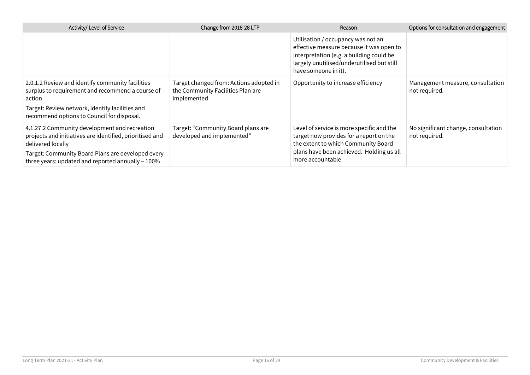| Activity/ Level of Service                                                                                                                                                                                                               | Change from 2018-28 LTP                                                                     | Reason                                                                                                                                                                                           | Options for consultation and engagement              |
|------------------------------------------------------------------------------------------------------------------------------------------------------------------------------------------------------------------------------------------|---------------------------------------------------------------------------------------------|--------------------------------------------------------------------------------------------------------------------------------------------------------------------------------------------------|------------------------------------------------------|
|                                                                                                                                                                                                                                          |                                                                                             | Utilisation / occupancy was not an<br>effective measure because it was open to<br>interpretation (e.g. a building could be<br>largely unutilised/underutilised but still<br>have someone in it). |                                                      |
| 2.0.1.2 Review and identify community facilities<br>surplus to requirement and recommend a course of<br>action<br>Target: Review network, identify facilities and<br>recommend options to Council for disposal.                          | Target changed from: Actions adopted in<br>the Community Facilities Plan are<br>implemented | Opportunity to increase efficiency                                                                                                                                                               | Management measure, consultation<br>not required.    |
| 4.1.27.2 Community development and recreation<br>projects and initiatives are identified, prioritised and<br>delivered locally<br>Target: Community Board Plans are developed every<br>three years; updated and reported annually - 100% | Target: "Community Board plans are<br>developed and implemented"                            | Level of service is more specific and the<br>target now provides for a report on the<br>the extent to which Community Board<br>plans have been achieved. Holding us all<br>more accountable      | No significant change, consultation<br>not required. |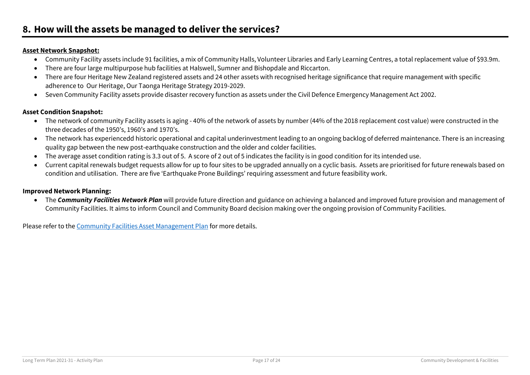#### <span id="page-16-0"></span>**Asset Network Snapshot:**

- Community Facility assets include 91 facilities, a mix of Community Halls, Volunteer Libraries and Early Learning Centres, a total replacement value of \$93.9m.
- There are four large multipurpose hub facilities at Halswell, Sumner and Bishopdale and Riccarton.
- There are four Heritage New Zealand registered assets and 24 other assets with recognised heritage significance that require management with specific adherence to Our Heritage, Our Taonga Heritage Strategy 2019-2029.
- Seven Community Facility assets provide disaster recovery function as assets under the Civil Defence Emergency Management Act 2002.

#### **Asset Condition Snapshot:**

- The network of community Facility assets is aging 40% of the network of assets by number (44% of the 2018 replacement cost value) were constructed in the three decades of the 1950's, 1960's and 1970's.
- The network has experiencedd historic operational and capital underinvestment leading to an ongoing backlog of deferred maintenance. There is an increasing quality gap between the new post-earthquake construction and the older and colder facilities.
- The average asset condition rating is 3.3 out of 5. A score of 2 out of 5 indicates the facility is in good condition for its intended use.
- Current capital renewals budget requests allow for up to four sites to be upgraded annually on a cyclic basis. Assets are prioritised for future renewals based on condition and utilisation. There are five 'Earthquake Prone Buildings' requiring assessment and future feasibility work.

#### **Improved Network Planning:**

 The *Community Facilities Network Plan* will provide future direction and guidance on achieving a balanced and improved future provision and management of Community Facilities. It aims to inform Council and Community Board decision making over the ongoing provision of Community Facilities.

Please refer to th[e Community Facilities Asset Management Plan](https://ccc.govt.nz/the-council/plans-strategies-policies-and-bylaws/plans/long-term-plan-and-annual-plans/long/final-long-term-plan-2021-31-documents) for more details.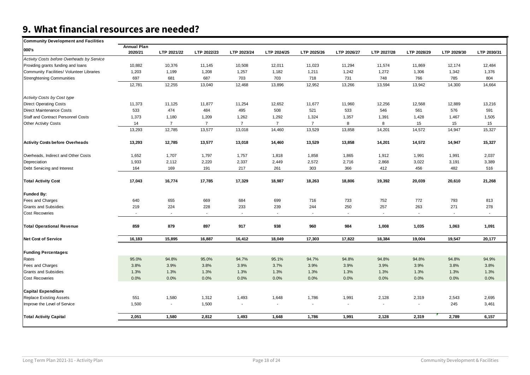# <span id="page-17-0"></span>**9. What financial resources are needed?**

| <b>Community Development and Facilities</b> |                               |                |                |                |                |                          |                             |                |             |                |             |
|---------------------------------------------|-------------------------------|----------------|----------------|----------------|----------------|--------------------------|-----------------------------|----------------|-------------|----------------|-------------|
| 000's                                       | <b>Annual Plan</b><br>2020/21 | LTP 2021/22    | LTP 2022/23    | LTP 2023/24    | LTP 2024/25    | LTP 2025/26              | LTP 2026/27                 | LTP 2027/28    | LTP 2028/29 | LTP 2029/30    | LTP 2030/31 |
| Activity Costs before Overheads by Service  |                               |                |                |                |                |                          |                             |                |             |                |             |
| Providing grants funding and loans          | 10,882                        | 10,376         | 11,145         | 10,508         | 12,011         | 11,023                   | 11,294                      | 11,574         | 11,869      | 12,174         | 12,484      |
| Community Facilities/ Volunteer Libraries   | 1,203                         | 1,199          | 1,208          | 1,257          | 1,182          | 1,211                    | 1,242                       | 1,272          | 1,306       | 1,342          | 1,376       |
| <b>Strenghtening Communities</b>            | 697                           | 681            | 687            | 703            | 703            | 718                      | 731                         | 748            | 766         | 785            | 804         |
|                                             | 12,781                        | 12,255         | 13,040         | 12,468         | 13,896         | 12,952                   | 13,266                      | 13,594         | 13,942      | 14,300         | 14,664      |
| Activity Costs by Cost type                 |                               |                |                |                |                |                          |                             |                |             |                |             |
| <b>Direct Operating Costs</b>               | 11,373                        | 11,125         | 11,877         | 11,254         | 12,652         | 11,677                   | 11,960                      | 12,256         | 12,568      | 12,889         | 13,216      |
| <b>Direct Maintenance Costs</b>             | 533                           | 474            | 484            | 495            | 508            | 521                      | 533                         | 546            | 561         | 576            | 591         |
| Staff and Contract Personnel Costs          | 1,373                         | 1,180          | 1,209          | 1,262          | 1,292          | 1,324                    | 1,357                       | 1,391          | 1,428       | 1,467          | 1,505       |
| <b>Other Activity Costs</b>                 | 14                            | $\overline{7}$ | $\overline{7}$ | $\overline{7}$ | $\overline{7}$ | $\overline{7}$           | 8                           | 8              | 15          | 15             | 15          |
|                                             | 13,293                        | 12,785         | 13,577         | 13,018         | 14,460         | 13,529                   | 13,858                      | 14,201         | 14,572      | 14,947         | 15,327      |
| <b>Activity Costs before Overheads</b>      | 13,293                        | 12,785         | 13,577         | 13,018         | 14,460         | 13,529                   | 13,858                      | 14,201         | 14,572      | 14,947         | 15,327      |
| Overheads, Indirect and Other Costs         | 1,652                         | 1,707          | 1,797          | 1,757          | 1,818          | 1,858                    | 1,865                       | 1,912          | 1,991       | 1,991          | 2,037       |
| Depreciation                                | 1,933                         | 2,112          | 2,220          | 2,337          | 2,449          | 2,572                    | 2,716                       | 2,868          | 3,022       | 3,191          | 3,389       |
| Debt Servicing and Interest                 | 164                           | 169            | 191            | 217            | 261            | 303                      | 366                         | 412            | 456         | 482            | 516         |
| <b>Total Activity Cost</b>                  | 17,043                        | 16,774         | 17,785         | 17,329         | 18,987         | 18,263                   | 18,806                      | 19,392         | 20,039      | 20,610         | 21,268      |
| <b>Funded By:</b>                           |                               |                |                |                |                |                          |                             |                |             |                |             |
| Fees and Charges                            | 640                           | 655            | 669            | 684            | 699            | 716                      | 733                         | 752            | 772         | 793            | 813         |
| <b>Grants and Subsidies</b>                 | 219                           | 224            | 228            | 233            | 239            | 244                      | 250                         | 257            | 263         | 271            | 278         |
| <b>Cost Recoveries</b>                      |                               | $\sim$         | $\sim$         | $\sim$         | $\mathbf{r}$   |                          | $\mathcal{L}_{\mathcal{A}}$ | $\sim$         | $\sim$      | $\blacksquare$ |             |
| <b>Total Operational Revenue</b>            | 859                           | 879            | 897            | 917            | 938            | 960                      | 984                         | 1,008          | 1,035       | 1,063          | 1,091       |
| <b>Net Cost of Service</b>                  | 16,183                        | 15,895         | 16,887         | 16,412         | 18,049         | 17,303                   | 17,822                      | 18,384         | 19,004      | 19,547         | 20,177      |
| <b>Funding Percentages:</b>                 |                               |                |                |                |                |                          |                             |                |             |                |             |
| Rates                                       | 95.0%                         | 94.8%          | 95.0%          | 94.7%          | 95.1%          | 94.7%                    | 94.8%                       | 94.8%          | 94.8%       | 94.8%          | 94.9%       |
| Fees and Charges                            | 3.8%                          | 3.9%           | 3.8%           | 3.9%           | 3.7%           | 3.9%                     | 3.9%                        | 3.9%           | 3.9%        | 3.8%           | 3.8%        |
| <b>Grants and Subsidies</b>                 | 1.3%                          | 1.3%           | 1.3%           | 1.3%           | 1.3%           | 1.3%                     | 1.3%                        | 1.3%           | 1.3%        | 1.3%           | 1.3%        |
| <b>Cost Recoveries</b>                      | 0.0%                          | 0.0%           | 0.0%           | 0.0%           | 0.0%           | 0.0%                     | 0.0%                        | 0.0%           | 0.0%        | 0.0%           | 0.0%        |
| <b>Capital Expenditure</b>                  |                               |                |                |                |                |                          |                             |                |             |                |             |
| <b>Replace Existing Assets</b>              | 551                           | 1,580          | 1,312          | 1,493          | 1,648          | 1,786                    | 1,991                       | 2,128          | 2,319       | 2,543          | 2,695       |
| Improve the Level of Service                | 1,500                         | $\blacksquare$ | 1,500          | $\sim$         | $\blacksquare$ | $\overline{\phantom{a}}$ | $\blacksquare$              | $\blacksquare$ | $\sim$      | 245            | 3,461       |
| <b>Total Activity Capital</b>               | 2,051                         | 1,580          | 2,812          | 1,493          | 1,648          | 1,786                    | 1,991                       | 2,128          | 2,319       | 2,789          | 6,157       |
|                                             |                               |                |                |                |                |                          |                             |                |             |                |             |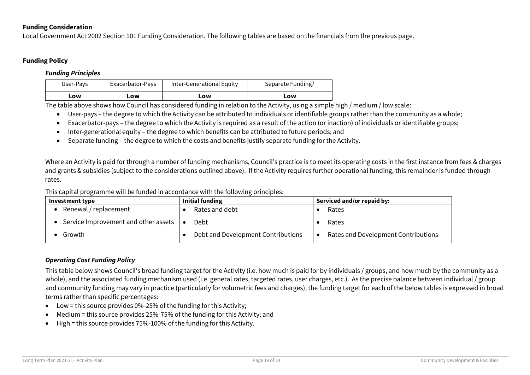### **Funding Consideration**

Local Government Act 2002 Section 101 Funding Consideration. The following tables are based on the financials from the previous page.

### **Funding Policy**

#### *Funding Principles*

| User-Pays | Exacerbator-Pays | Inter-Generational Equity | Separate Funding? |
|-----------|------------------|---------------------------|-------------------|
| LOW       | ∟ow              | LOW                       | LOW               |

The table above shows how Council has considered funding in relation to the Activity, using a simple high / medium / low scale:

- User-pays the degree to which the Activity can be attributed to individuals or identifiable groups rather than the community as a whole;
- Exacerbator-pays the degree to which the Activity is required as a result of the action (or inaction) of individuals or identifiable groups;
- Inter-generational equity the degree to which benefits can be attributed to future periods; and
- Separate funding the degree to which the costs and benefits justify separate funding for the Activity.

Where an Activity is paid for through a number of funding mechanisms, Council's practice is to meet its operating costs in the first instance from fees & charges and grants & subsidies (subject to the considerations outlined above). If the Activity requires further operational funding, this remainder is funded through rates.

This capital programme will be funded in accordance with the following principles:

| Investment type                      | Initial funding                    | Serviced and/or repaid by:          |  |  |  |
|--------------------------------------|------------------------------------|-------------------------------------|--|--|--|
| Renewal / replacement                | Rates and debt                     | Rates                               |  |  |  |
| Service Improvement and other assets | Debt                               | Rates                               |  |  |  |
| Growth                               | Debt and Development Contributions | Rates and Development Contributions |  |  |  |

### *Operating Cost Funding Policy*

This table below shows Council's broad funding target for the Activity (i.e. how much is paid for by individuals / groups, and how much by the community as a whole), and the associated funding mechanism used (i.e. general rates, targeted rates, user charges, etc.). As the precise balance between individual / group and community funding may vary in practice (particularly for volumetric fees and charges), the funding target for each of the below tables is expressed in broad terms rather than specific percentages:

- $\bullet$  Low = this source provides 0%-25% of the funding for this Activity;
- Medium = this source provides 25%-75% of the funding for this Activity; and
- High = this source provides 75%-100% of the funding for this Activity.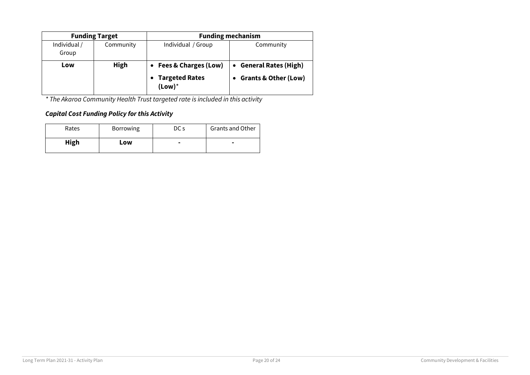|                       | <b>Funding Target</b> | <b>Funding mechanism</b>                                              |                                                                             |  |  |  |  |
|-----------------------|-----------------------|-----------------------------------------------------------------------|-----------------------------------------------------------------------------|--|--|--|--|
| Individual /<br>Group | Community             | Community                                                             |                                                                             |  |  |  |  |
| Low                   | High                  | <b>Fees &amp; Charges (Low)</b><br><b>Targeted Rates</b><br>$(Low)^*$ | <b>General Rates (High)</b><br>$\bullet$<br><b>Grants &amp; Other (Low)</b> |  |  |  |  |

*\* The Akaroa Community Health Trust targeted rate is included in this activity*

### *Capital Cost Funding Policy for this Activity*

| Rates       | <b>Borrowing</b> | DC s | Grants and Other |
|-------------|------------------|------|------------------|
| <b>High</b> | LOW              |      |                  |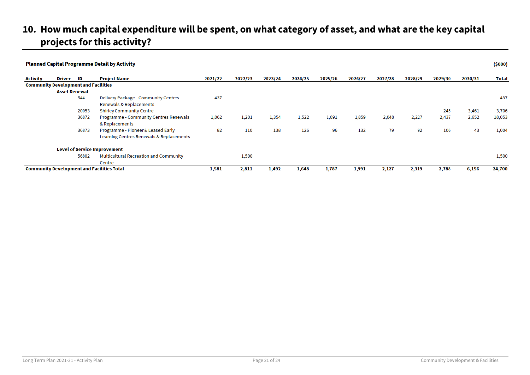### <span id="page-20-0"></span>**10. How much capital expenditure will be spent, on what category of asset, and what are the key capital projects for this activity?**

|                 |                                             |       | <b>Planned Capital Programme Detail by Activity</b>                            |         |         |         |         |         |         |         |         |         |         | (5000)       |
|-----------------|---------------------------------------------|-------|--------------------------------------------------------------------------------|---------|---------|---------|---------|---------|---------|---------|---------|---------|---------|--------------|
| <b>Activity</b> | Driver                                      | ID    | Project Name                                                                   | 2021/22 | 2022/23 | 2023/24 | 2024/25 | 2025/26 | 2026/27 | 2027/28 | 2028/29 | 2029/30 | 2030/31 | <b>Total</b> |
|                 | <b>Community Development and Facilities</b> |       |                                                                                |         |         |         |         |         |         |         |         |         |         |              |
|                 | <b>Asset Renewal</b>                        |       |                                                                                |         |         |         |         |         |         |         |         |         |         |              |
|                 |                                             | 544   | <b>Delivery Package - Community Centres</b><br>Renewals & Replacements         | 437     |         |         |         |         |         |         |         |         |         | 437          |
|                 |                                             | 20053 | <b>Shirley Community Centre</b>                                                |         |         |         |         |         |         |         |         | 245     | 3,461   | 3,706        |
|                 |                                             | 36872 | Programme - Community Centres Renewals<br>& Replacements                       | 1,062   | 1,201   | 1,354   | 1,522   | 1,691   | 1,859   | 2,048   | 2,227   | 2,437   | 2,652   | 18,053       |
|                 |                                             | 36873 | Programme - Pioneer & Leased Early<br>Learning Centres Renewals & Replacements | 82      | 110     | 138     | 126     | 96      | 132     | 79      | 92      | 106     | 43      | 1,004        |
|                 |                                             |       | <b>Level of Service Improvement</b>                                            |         |         |         |         |         |         |         |         |         |         |              |
|                 |                                             | 56802 | <b>Multicultural Recreation and Community</b>                                  |         | 1,500   |         |         |         |         |         |         |         |         | 1,500        |
|                 |                                             |       | Centre                                                                         |         |         |         |         |         |         |         |         |         |         |              |
|                 |                                             |       | <b>Community Development and Facilities Total</b>                              | 1,581   | 2,811   | 1,492   | 1,648   | 1,787   | 1,991   | 2,127   | 2,319   | 2,788   | 6,156   | 24,700       |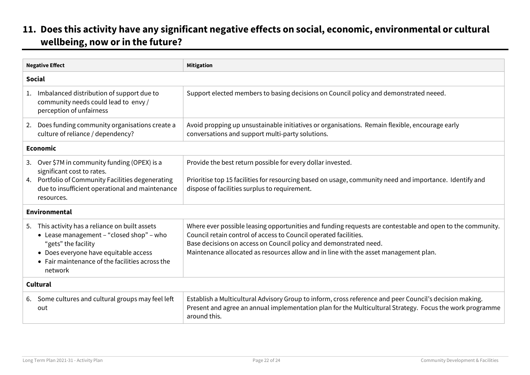### <span id="page-21-0"></span>**11. Does this activity have any significant negative effects on social, economic, environmental or cultural wellbeing, now or in the future?**

| <b>Negative Effect</b> |                                                                                                                                                                                                                           | <b>Mitigation</b>                                                                                                                                                                                                                                                                                                                          |
|------------------------|---------------------------------------------------------------------------------------------------------------------------------------------------------------------------------------------------------------------------|--------------------------------------------------------------------------------------------------------------------------------------------------------------------------------------------------------------------------------------------------------------------------------------------------------------------------------------------|
|                        | <b>Social</b>                                                                                                                                                                                                             |                                                                                                                                                                                                                                                                                                                                            |
|                        | 1. Imbalanced distribution of support due to<br>community needs could lead to envy /<br>perception of unfairness                                                                                                          | Support elected members to basing decisions on Council policy and demonstrated neeed.                                                                                                                                                                                                                                                      |
|                        | 2. Does funding community organisations create a<br>culture of reliance / dependency?                                                                                                                                     | Avoid propping up unsustainable initiatives or organisations. Remain flexible, encourage early<br>conversations and support multi-party solutions.                                                                                                                                                                                         |
|                        | <b>Economic</b>                                                                                                                                                                                                           |                                                                                                                                                                                                                                                                                                                                            |
|                        | 3. Over \$7M in community funding (OPEX) is a<br>significant cost to rates.<br>4. Portfolio of Community Facilities degenerating<br>due to insufficient operational and maintenance<br>resources.                         | Provide the best return possible for every dollar invested.<br>Prioritise top 15 facilities for resourcing based on usage, community need and importance. Identify and<br>dispose of facilities surplus to requirement.                                                                                                                    |
|                        | <b>Environmental</b>                                                                                                                                                                                                      |                                                                                                                                                                                                                                                                                                                                            |
|                        | 5. This activity has a reliance on built assets<br>• Lease management - "closed shop" - who<br>"gets" the facility<br>• Does everyone have equitable access<br>• Fair maintenance of the facilities across the<br>network | Where ever possible leasing opportunities and funding requests are contestable and open to the community.<br>Council retain control of access to Council operated facilities.<br>Base decisions on access on Council policy and demonstrated need.<br>Maintenance allocated as resources allow and in line with the asset management plan. |
|                        | Cultural                                                                                                                                                                                                                  |                                                                                                                                                                                                                                                                                                                                            |
|                        | 6. Some cultures and cultural groups may feel left<br>out                                                                                                                                                                 | Establish a Multicultural Advisory Group to inform, cross reference and peer Council's decision making.<br>Present and agree an annual implementation plan for the Multicultural Strategy. Focus the work programme<br>around this.                                                                                                        |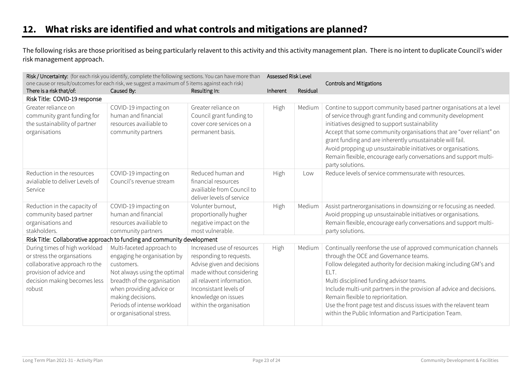### <span id="page-22-0"></span>**12. What risks are identified and what controls and mitigations are planned?**

The following risks are those prioritised as being particularly relavent to this activity and this activity management plan. There is no intent to duplicate Council's wider risk management approach.

| Risk / Uncertainty: (for each risk you identify, complete the following sections. You can have more than<br>one cause or result/outcomes for each risk, we suggest a maximum of 5 items against each risk) |                                                                                                                                                                                                                                                    | Assessed Risk Level                                                                                                                                                                                                      |          | <b>Controls and Mitigations</b> |                                                                                                                                                                                                                                                                                                                                                                                                                                                                                   |
|------------------------------------------------------------------------------------------------------------------------------------------------------------------------------------------------------------|----------------------------------------------------------------------------------------------------------------------------------------------------------------------------------------------------------------------------------------------------|--------------------------------------------------------------------------------------------------------------------------------------------------------------------------------------------------------------------------|----------|---------------------------------|-----------------------------------------------------------------------------------------------------------------------------------------------------------------------------------------------------------------------------------------------------------------------------------------------------------------------------------------------------------------------------------------------------------------------------------------------------------------------------------|
| There is a risk that/of:                                                                                                                                                                                   | Caused By:                                                                                                                                                                                                                                         | Resulting In:                                                                                                                                                                                                            | Inherent | Residual                        |                                                                                                                                                                                                                                                                                                                                                                                                                                                                                   |
| Risk Title: COVID-19 response                                                                                                                                                                              |                                                                                                                                                                                                                                                    |                                                                                                                                                                                                                          |          |                                 |                                                                                                                                                                                                                                                                                                                                                                                                                                                                                   |
| Greater reliance on<br>community grant funding for<br>the sustainability of partner<br>organisations                                                                                                       | COVID-19 impacting on<br>human and financial<br>resources availiable to<br>community partners                                                                                                                                                      | Greater reliance on<br>Council grant funding to<br>cover core services on a<br>permanent basis.                                                                                                                          | High     | Medium                          | Contine to support community based partner organisations at a level<br>of service through grant funding and community development<br>initiatives designed to support sustainability<br>Accept that some community organisations that are "over reliant" on<br>grant funding and are inherently unsustainable will fail.<br>Avoid propping up unsustainable initiatives or organisations.<br>Remain flexible, encourage early conversations and support multi-<br>party solutions. |
| Reduction in the resources<br>avialiable to deliver Levels of<br>Service                                                                                                                                   | COVID-19 impacting on<br>Council's revenue stream                                                                                                                                                                                                  | Reduced human and<br>financial resources<br>availiable from Council to<br>deliver levels of service                                                                                                                      | High     | Low                             | Reduce levels of service commensurate with resources.                                                                                                                                                                                                                                                                                                                                                                                                                             |
| Reduction in the capacity of<br>community based partner<br>organisations and<br>stakholders.                                                                                                               | COVID-19 impacting on<br>human and financial<br>resources availiable to<br>community partners                                                                                                                                                      | Volunter burnout,<br>proportionally hugher<br>negative impact on the<br>most vulnerable.                                                                                                                                 | High     | Medium                          | Assist partnerorganisations in downsizing or re focusing as needed.<br>Avoid propping up unsustainable initiatives or organisations.<br>Remain flexible, encourage early conversations and support multi-<br>party solutions.                                                                                                                                                                                                                                                     |
| Risk Title: Collaborative approach to funding and community development                                                                                                                                    |                                                                                                                                                                                                                                                    |                                                                                                                                                                                                                          |          |                                 |                                                                                                                                                                                                                                                                                                                                                                                                                                                                                   |
| During times of high workload<br>or stress the organsations<br>collaborative approach ro the<br>provision of advice and<br>decision making becomes less<br>robust                                          | Multi-faceted approach to<br>engaging he organisation by<br>customers.<br>Not always using the optimal<br>breadth of the organisation<br>when providing advice or<br>making decisions.<br>Periods of intense workload<br>or organisational stress. | Increased use of resources<br>responding to requests.<br>Advise given and decisions<br>made without considering<br>all relavent information.<br>Inconsistant levels of<br>knowledge on issues<br>within the organisation | High     | Medium                          | Continually reenforse the use of approved communication channels<br>through the OCE and Governance teams.<br>Follow delegated authority for decision making including GM's and<br>ELT.<br>Multi disciplined funding advisor teams.<br>Include multi-unit partners in the provision af advice and decisions.<br>Remain flexible to reprioritation.<br>Use the front page test and discuss issues with the relavent team<br>within the Public Information and Participation Team.   |